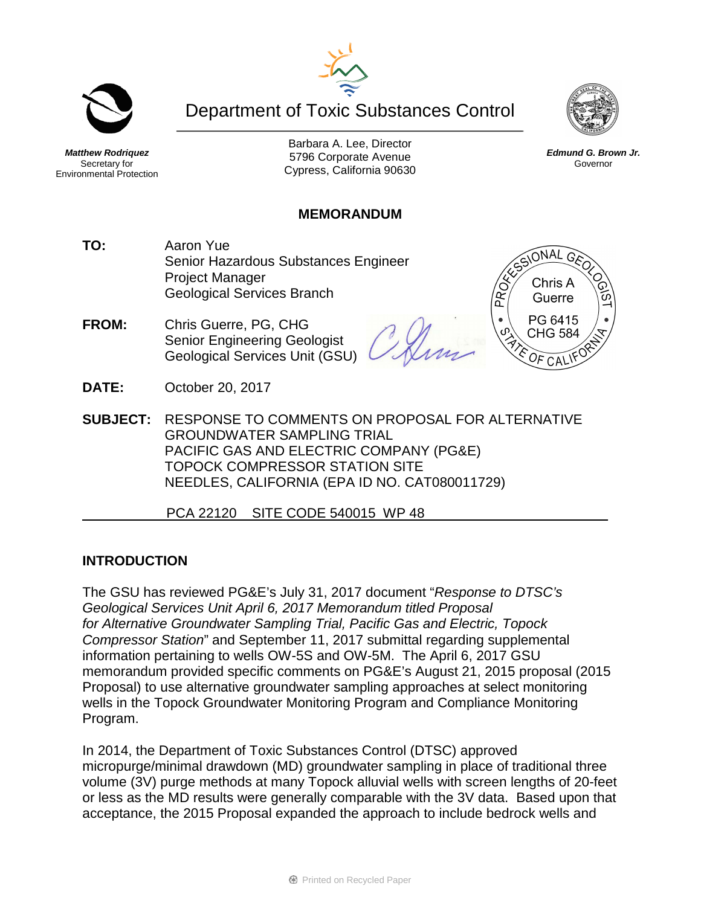



Secretary for Environmental Protection

Barbara A. Lee, Director 5796 Corporate Avenue Cypress, California 90630

### **MEMORANDUM**

- **TO:** Aaron Yue Senior Hazardous Substances Engineer Project Manager Geological Services Branch
- **FROM:** Chris Guerre, PG, CHG Senior Engineering Geologist Geological Services Unit (GSU)

**DATE:** October 20, 2017

**SUBJECT:** RESPONSE TO COMMENTS ON PROPOSAL FOR ALTERNATIVE GROUNDWATER SAMPLING TRIAL PACIFIC GAS AND ELECTRIC COMPANY (PG&E) TOPOCK COMPRESSOR STATION SITE NEEDLES, CALIFORNIA (EPA ID NO. CAT080011729)

PCA 22120 SITE CODE 540015 WP 48

### **INTRODUCTION**

The GSU has reviewed PG&E's July 31, 2017 document "*Response to DTSC's Geological Services Unit April 6, 2017 Memorandum titled Proposal for Alternative Groundwater Sampling Trial, Pacific Gas and Electric, Topock Compressor Station*" and September 11, 2017 submittal regarding supplemental information pertaining to wells OW-5S and OW-5M. The April 6, 2017 GSU memorandum provided specific comments on PG&E's August 21, 2015 proposal (2015 Proposal) to use alternative groundwater sampling approaches at select monitoring wells in the Topock Groundwater Monitoring Program and Compliance Monitoring Program.

In 2014, the Department of Toxic Substances Control (DTSC) approved micropurge/minimal drawdown (MD) groundwater sampling in place of traditional three volume (3V) purge methods at many Topock alluvial wells with screen lengths of 20-feet or less as the MD results were generally comparable with the 3V data. Based upon that acceptance, the 2015 Proposal expanded the approach to include bedrock wells and



ONAL GA

Chris A Guerre PG 6415 **CHG 584** 

PROX



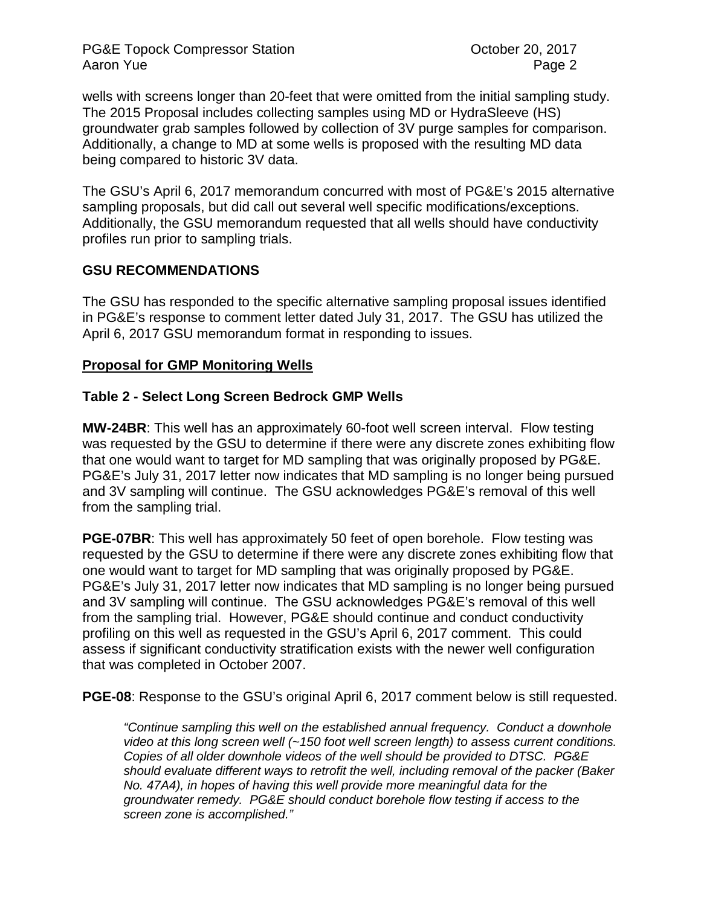PG&E Topock Compressor Station **Department Controllery** Cortober 20, 2017 Aaron Yue **Page 2** 

wells with screens longer than 20-feet that were omitted from the initial sampling study. The 2015 Proposal includes collecting samples using MD or HydraSleeve (HS) groundwater grab samples followed by collection of 3V purge samples for comparison. Additionally, a change to MD at some wells is proposed with the resulting MD data being compared to historic 3V data.

The GSU's April 6, 2017 memorandum concurred with most of PG&E's 2015 alternative sampling proposals, but did call out several well specific modifications/exceptions. Additionally, the GSU memorandum requested that all wells should have conductivity profiles run prior to sampling trials.

### **GSU RECOMMENDATIONS**

The GSU has responded to the specific alternative sampling proposal issues identified in PG&E's response to comment letter dated July 31, 2017. The GSU has utilized the April 6, 2017 GSU memorandum format in responding to issues.

#### **Proposal for GMP Monitoring Wells**

#### **Table 2 - Select Long Screen Bedrock GMP Wells**

**MW-24BR**: This well has an approximately 60-foot well screen interval. Flow testing was requested by the GSU to determine if there were any discrete zones exhibiting flow that one would want to target for MD sampling that was originally proposed by PG&E. PG&E's July 31, 2017 letter now indicates that MD sampling is no longer being pursued and 3V sampling will continue. The GSU acknowledges PG&E's removal of this well from the sampling trial.

**PGE-07BR:** This well has approximately 50 feet of open borehole. Flow testing was requested by the GSU to determine if there were any discrete zones exhibiting flow that one would want to target for MD sampling that was originally proposed by PG&E. PG&E's July 31, 2017 letter now indicates that MD sampling is no longer being pursued and 3V sampling will continue. The GSU acknowledges PG&E's removal of this well from the sampling trial. However, PG&E should continue and conduct conductivity profiling on this well as requested in the GSU's April 6, 2017 comment. This could assess if significant conductivity stratification exists with the newer well configuration that was completed in October 2007.

**PGE-08**: Response to the GSU's original April 6, 2017 comment below is still requested.

*"Continue sampling this well on the established annual frequency. Conduct a downhole video at this long screen well (~150 foot well screen length) to assess current conditions. Copies of all older downhole videos of the well should be provided to DTSC. PG&E should evaluate different ways to retrofit the well, including removal of the packer (Baker No. 47A4), in hopes of having this well provide more meaningful data for the groundwater remedy. PG&E should conduct borehole flow testing if access to the screen zone is accomplished."*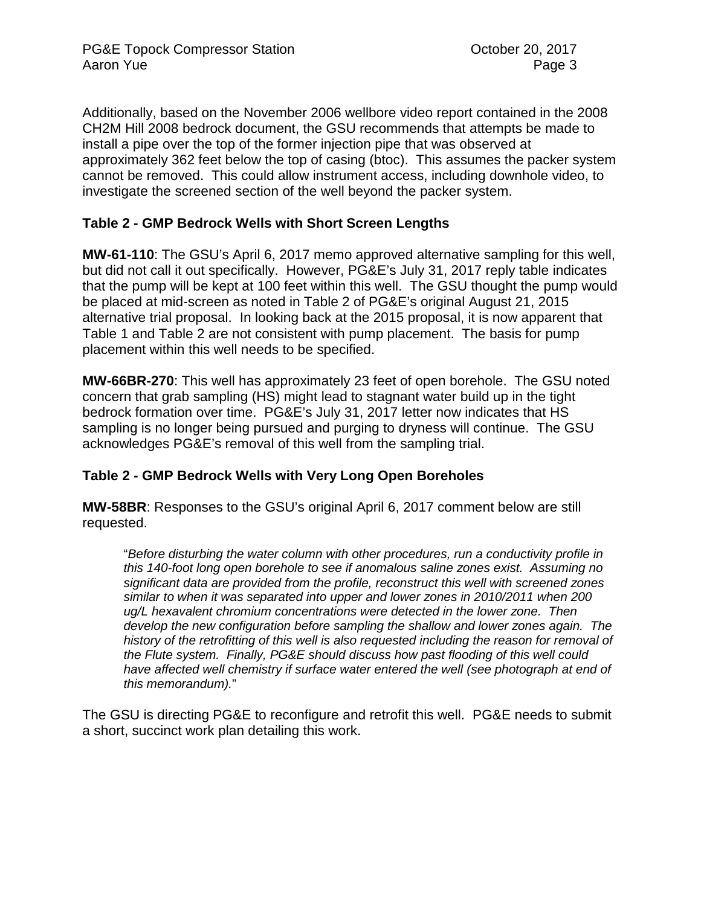Additionally, based on the November 2006 wellbore video report contained in the 2008 CH2M Hill 2008 bedrock document, the GSU recommends that attempts be made to install a pipe over the top of the former injection pipe that was observed at approximately 362 feet below the top of casing (btoc). This assumes the packer system cannot be removed. This could allow instrument access, including downhole video, to investigate the screened section of the well beyond the packer system.

# **Table 2 - GMP Bedrock Wells with Short Screen Lengths**

**MW-61-110**: The GSU's April 6, 2017 memo approved alternative sampling for this well, but did not call it out specifically. However, PG&E's July 31, 2017 reply table indicates that the pump will be kept at 100 feet within this well. The GSU thought the pump would be placed at mid-screen as noted in Table 2 of PG&E's original August 21, 2015 alternative trial proposal. In looking back at the 2015 proposal, it is now apparent that Table 1 and Table 2 are not consistent with pump placement. The basis for pump placement within this well needs to be specified.

**MW-66BR-270**: This well has approximately 23 feet of open borehole. The GSU noted concern that grab sampling (HS) might lead to stagnant water build up in the tight bedrock formation over time. PG&E's July 31, 2017 letter now indicates that HS sampling is no longer being pursued and purging to dryness will continue. The GSU acknowledges PG&E's removal of this well from the sampling trial.

# **Table 2 - GMP Bedrock Wells with Very Long Open Boreholes**

**MW-58BR**: Responses to the GSU's original April 6, 2017 comment below are still requested.

"*Before disturbing the water column with other procedures, run a conductivity profile in this 140-foot long open borehole to see if anomalous saline zones exist. Assuming no significant data are provided from the profile, reconstruct this well with screened zones similar to when it was separated into upper and lower zones in 2010/2011 when 200 ug/L hexavalent chromium concentrations were detected in the lower zone. Then develop the new configuration before sampling the shallow and lower zones again. The history of the retrofitting of this well is also requested including the reason for removal of the Flute system. Finally, PG&E should discuss how past flooding of this well could have affected well chemistry if surface water entered the well (see photograph at end of this memorandum).*"

The GSU is directing PG&E to reconfigure and retrofit this well. PG&E needs to submit a short, succinct work plan detailing this work.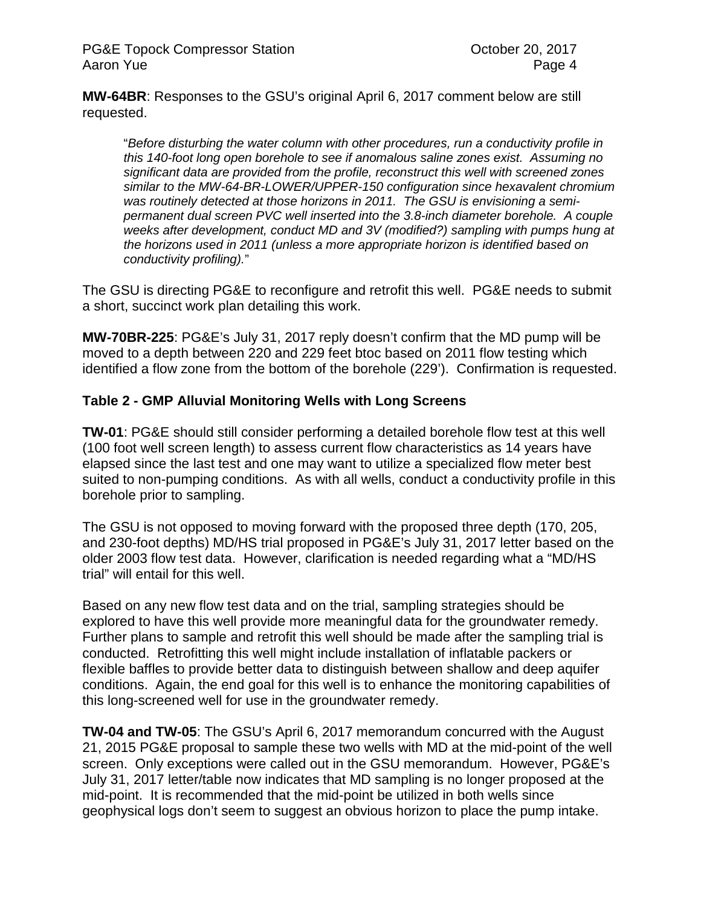**MW-64BR**: Responses to the GSU's original April 6, 2017 comment below are still requested.

"*Before disturbing the water column with other procedures, run a conductivity profile in this 140-foot long open borehole to see if anomalous saline zones exist. Assuming no significant data are provided from the profile, reconstruct this well with screened zones similar to the MW-64-BR-LOWER/UPPER-150 configuration since hexavalent chromium was routinely detected at those horizons in 2011. The GSU is envisioning a semipermanent dual screen PVC well inserted into the 3.8-inch diameter borehole. A couple weeks after development, conduct MD and 3V (modified?) sampling with pumps hung at the horizons used in 2011 (unless a more appropriate horizon is identified based on conductivity profiling).*"

The GSU is directing PG&E to reconfigure and retrofit this well. PG&E needs to submit a short, succinct work plan detailing this work.

**MW-70BR-225**: PG&E's July 31, 2017 reply doesn't confirm that the MD pump will be moved to a depth between 220 and 229 feet btoc based on 2011 flow testing which identified a flow zone from the bottom of the borehole (229'). Confirmation is requested.

## **Table 2 - GMP Alluvial Monitoring Wells with Long Screens**

**TW-01**: PG&E should still consider performing a detailed borehole flow test at this well (100 foot well screen length) to assess current flow characteristics as 14 years have elapsed since the last test and one may want to utilize a specialized flow meter best suited to non-pumping conditions. As with all wells, conduct a conductivity profile in this borehole prior to sampling.

The GSU is not opposed to moving forward with the proposed three depth (170, 205, and 230-foot depths) MD/HS trial proposed in PG&E's July 31, 2017 letter based on the older 2003 flow test data. However, clarification is needed regarding what a "MD/HS trial" will entail for this well.

Based on any new flow test data and on the trial, sampling strategies should be explored to have this well provide more meaningful data for the groundwater remedy. Further plans to sample and retrofit this well should be made after the sampling trial is conducted. Retrofitting this well might include installation of inflatable packers or flexible baffles to provide better data to distinguish between shallow and deep aquifer conditions. Again, the end goal for this well is to enhance the monitoring capabilities of this long-screened well for use in the groundwater remedy.

**TW-04 and TW-05**: The GSU's April 6, 2017 memorandum concurred with the August 21, 2015 PG&E proposal to sample these two wells with MD at the mid-point of the well screen. Only exceptions were called out in the GSU memorandum. However, PG&E's July 31, 2017 letter/table now indicates that MD sampling is no longer proposed at the mid-point. It is recommended that the mid-point be utilized in both wells since geophysical logs don't seem to suggest an obvious horizon to place the pump intake.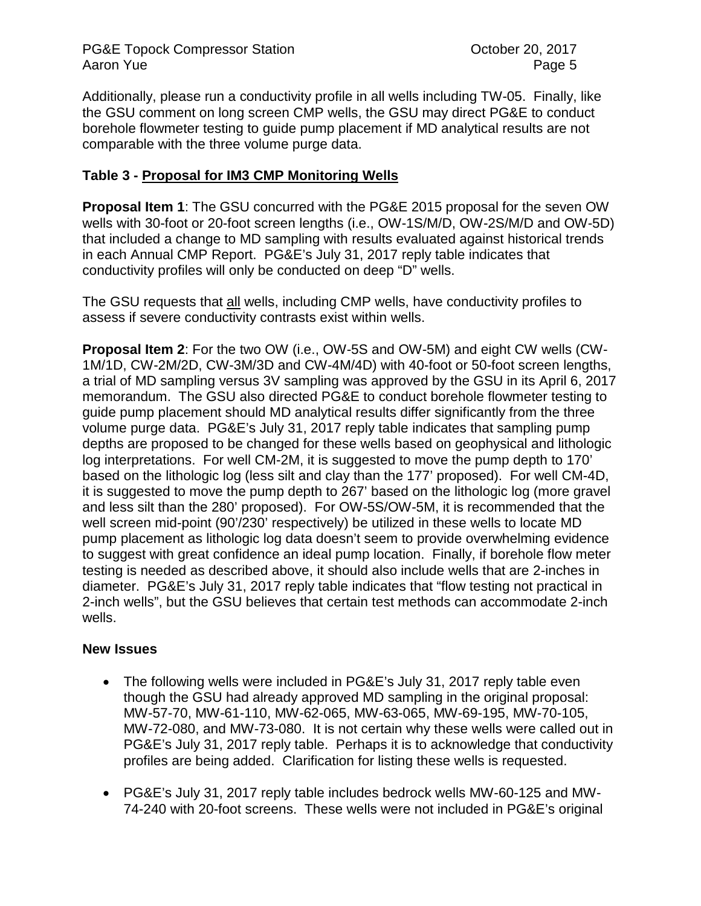PG&E Topock Compressor Station **Department Controllery** October 20, 2017 Aaron Yue **Page 5** 

Additionally, please run a conductivity profile in all wells including TW-05. Finally, like the GSU comment on long screen CMP wells, the GSU may direct PG&E to conduct borehole flowmeter testing to guide pump placement if MD analytical results are not comparable with the three volume purge data.

# **Table 3 - Proposal for IM3 CMP Monitoring Wells**

**Proposal Item 1**: The GSU concurred with the PG&E 2015 proposal for the seven OW wells with 30-foot or 20-foot screen lengths (i.e., OW-1S/M/D, OW-2S/M/D and OW-5D) that included a change to MD sampling with results evaluated against historical trends in each Annual CMP Report. PG&E's July 31, 2017 reply table indicates that conductivity profiles will only be conducted on deep "D" wells.

The GSU requests that all wells, including CMP wells, have conductivity profiles to assess if severe conductivity contrasts exist within wells.

**Proposal Item 2**: For the two OW (i.e., OW-5S and OW-5M) and eight CW wells (CW-1M/1D, CW-2M/2D, CW-3M/3D and CW-4M/4D) with 40-foot or 50-foot screen lengths, a trial of MD sampling versus 3V sampling was approved by the GSU in its April 6, 2017 memorandum. The GSU also directed PG&E to conduct borehole flowmeter testing to guide pump placement should MD analytical results differ significantly from the three volume purge data. PG&E's July 31, 2017 reply table indicates that sampling pump depths are proposed to be changed for these wells based on geophysical and lithologic log interpretations. For well CM-2M, it is suggested to move the pump depth to 170' based on the lithologic log (less silt and clay than the 177' proposed). For well CM-4D, it is suggested to move the pump depth to 267' based on the lithologic log (more gravel and less silt than the 280' proposed). For OW-5S/OW-5M, it is recommended that the well screen mid-point (90'/230' respectively) be utilized in these wells to locate MD pump placement as lithologic log data doesn't seem to provide overwhelming evidence to suggest with great confidence an ideal pump location. Finally, if borehole flow meter testing is needed as described above, it should also include wells that are 2-inches in diameter. PG&E's July 31, 2017 reply table indicates that "flow testing not practical in 2-inch wells", but the GSU believes that certain test methods can accommodate 2-inch wells.

#### **New Issues**

- The following wells were included in PG&E's July 31, 2017 reply table even though the GSU had already approved MD sampling in the original proposal: MW-57-70, MW-61-110, MW-62-065, MW-63-065, MW-69-195, MW-70-105, MW-72-080, and MW-73-080. It is not certain why these wells were called out in PG&E's July 31, 2017 reply table. Perhaps it is to acknowledge that conductivity profiles are being added. Clarification for listing these wells is requested.
- PG&E's July 31, 2017 reply table includes bedrock wells MW-60-125 and MW-74-240 with 20-foot screens. These wells were not included in PG&E's original